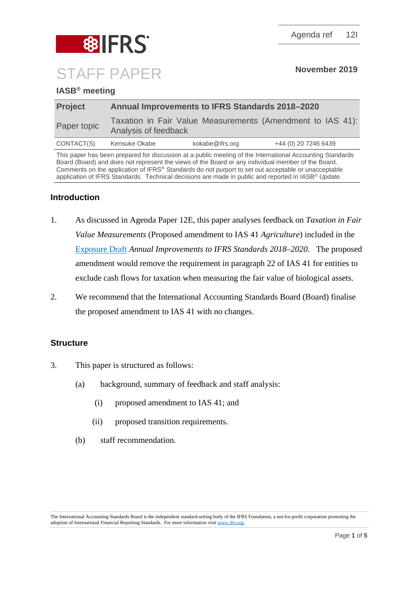

# **IASB® meeting**

| <b>Project</b> | <b>Annual Improvements to IFRS Standards 2018-2020</b>                             |                 |                      |
|----------------|------------------------------------------------------------------------------------|-----------------|----------------------|
| Paper topic    | Taxation in Fair Value Measurements (Amendment to IAS 41):<br>Analysis of feedback |                 |                      |
| CONTACT(S)     | Kensuke Okabe                                                                      | kokabe@ifrs.org | +44 (0) 20 7246 6439 |

This paper has been prepared for discussion at a public meeting of the International Accounting Standards Board (Board) and does not represent the views of the Board or any individual member of the Board. Comments on the application of IFRS® Standards do not purport to set out acceptable or unacceptable application of IFRS Standards. Technical decisions are made in public and reported in IASB® *Update*.

# **Introduction**

- 1. As discussed in Agenda Paper 12E, this paper analyses feedback on *Taxation in Fair Value Measurements* (Proposed amendment to IAS 41 *Agriculture*) included in the [Exposure Draft](https://www.ifrs.org/-/media/project/annual-improvements-2018-2020/ed-annual-improvements-2018-2020.pdf) *Annual Improvements to IFRS Standards 2018–2020*. The proposed amendment would remove the requirement in paragraph 22 of IAS 41 for entities to exclude cash flows for taxation when measuring the fair value of biological assets.
- 2. We recommend that the International Accounting Standards Board (Board) finalise the proposed amendment to IAS 41 with no changes.

## **Structure**

- 3. This paper is structured as follows:
	- (a) background, summary of feedback and staff analysis:
		- (i) proposed amendment to IAS 41; and
		- (ii) proposed transition requirements.
	- (b) staff recommendation.

The International Accounting Standards Board is the independent standard-setting body of the IFRS Foundation, a not-for-profit corporation promoting the adoption of International Financial Reporting Standards. For more information visi[t www.ifrs.org.](http://www.ifrs.org/)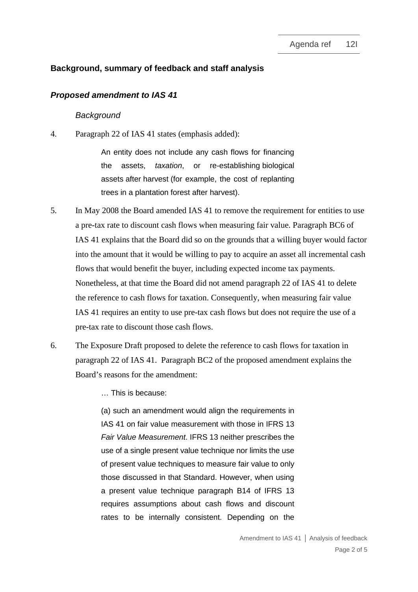## **Background, summary of feedback and staff analysis**

#### *Proposed amendment to IAS 41*

#### *Background*

4. Paragraph 22 of IAS 41 states (emphasis added):

An entity does not include any cash flows for financing the assets, *taxation*, or re-establishing [biological](https://eifrs.ifrs.org/eifrs/ViewContent?collection=2019_Issued_Standards&fn=IAS41_TI0002.html&scrollTo=IAS41_5__IAS41_P0108)  [assets](https://eifrs.ifrs.org/eifrs/ViewContent?collection=2019_Issued_Standards&fn=IAS41_TI0002.html&scrollTo=IAS41_5__IAS41_P0108) after [harvest](https://eifrs.ifrs.org/eifrs/ViewContent?collection=2019_Issued_Standards&fn=IAS41_TI0002.html&scrollTo=IAS41_5__IAS41_P0114) (for example, the cost of replanting trees in a plantation forest after harvest).

- 5. In May 2008 the Board amended IAS 41 to remove the requirement for entities to use a pre-tax rate to discount cash flows when measuring fair value. Paragraph BC6 of IAS 41 explains that the Board did so on the grounds that a willing buyer would factor into the amount that it would be willing to pay to acquire an asset all incremental cash flows that would benefit the buyer, including expected income tax payments. Nonetheless, at that time the Board did not amend paragraph 22 of IAS 41 to delete the reference to cash flows for taxation. Consequently, when measuring fair value IAS 41 requires an entity to use pre-tax cash flows but does not require the use of a pre-tax rate to discount those cash flows.
- 6. The Exposure Draft proposed to delete the reference to cash flows for taxation in paragraph 22 of IAS 41. Paragraph BC2 of the proposed amendment explains the Board's reasons for the amendment:

<span id="page-1-0"></span>… This is because:

(a) such an amendment would align the requirements in IAS 41 on fair value measurement with those in IFRS 13 *Fair Value Measurement*. IFRS 13 neither prescribes the use of a single present value technique nor limits the use of present value techniques to measure fair value to only those discussed in that Standard. However, when using a present value technique paragraph B14 of IFRS 13 requires assumptions about cash flows and discount rates to be internally consistent. Depending on the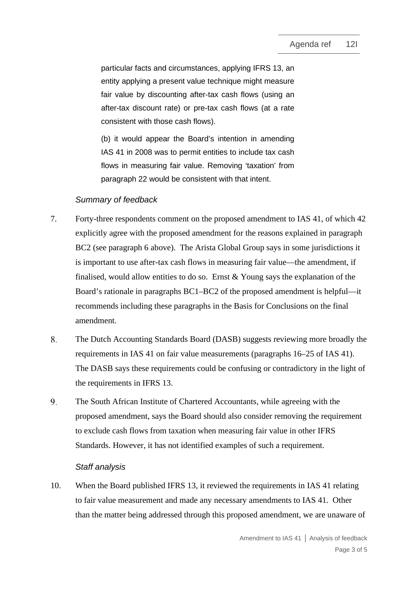particular facts and circumstances, applying IFRS 13, an entity applying a present value technique might measure fair value by discounting after-tax cash flows (using an after-tax discount rate) or pre-tax cash flows (at a rate consistent with those cash flows).

(b) it would appear the Board's intention in amending IAS 41 in 2008 was to permit entities to include tax cash flows in measuring fair value. Removing 'taxation' from paragraph 22 would be consistent with that intent.

## *Summary of feedback*

- 7. Forty-three respondents comment on the proposed amendment to IAS 41, of which 42 explicitly agree with the proposed amendment for the reasons explained in paragraph BC2 (see paragraph [6](#page-1-0) above). The Arista Global Group says in some jurisdictions it is important to use after-tax cash flows in measuring fair value—the amendment, if finalised, would allow entities to do so. Ernst & Young says the explanation of the Board's rationale in paragraphs BC1–BC2 of the proposed amendment is helpful—it recommends including these paragraphs in the Basis for Conclusions on the final amendment.
- 8. The Dutch Accounting Standards Board (DASB) suggests reviewing more broadly the requirements in IAS 41 on fair value measurements (paragraphs 16–25 of IAS 41). The DASB says these requirements could be confusing or contradictory in the light of the requirements in IFRS 13.
- 9. The South African Institute of Chartered Accountants, while agreeing with the proposed amendment, says the Board should also consider removing the requirement to exclude cash flows from taxation when measuring fair value in other IFRS Standards. However, it has not identified examples of such a requirement.

## *Staff analysis*

10. When the Board published IFRS 13, it reviewed the requirements in IAS 41 relating to fair value measurement and made any necessary amendments to IAS 41. Other than the matter being addressed through this proposed amendment, we are unaware of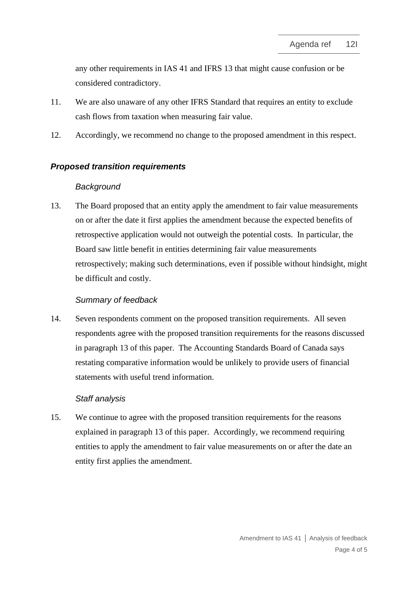any other requirements in IAS 41 and IFRS 13 that might cause confusion or be considered contradictory.

- 11. We are also unaware of any other IFRS Standard that requires an entity to exclude cash flows from taxation when measuring fair value.
- 12. Accordingly, we recommend no change to the proposed amendment in this respect.

### *Proposed transition requirements*

#### *Background*

<span id="page-3-0"></span>13. The Board proposed that an entity apply the amendment to fair value measurements on or after the date it first applies the amendment because the expected benefits of retrospective application would not outweigh the potential costs. In particular, the Board saw little benefit in entities determining fair value measurements retrospectively; making such determinations, even if possible without hindsight, might be difficult and costly.

#### *Summary of feedback*

14. Seven respondents comment on the proposed transition requirements. All seven respondents agree with the proposed transition requirements for the reasons discussed in paragraph [13](#page-3-0) of this paper. The Accounting Standards Board of Canada says restating comparative information would be unlikely to provide users of financial statements with useful trend information.

#### *Staff analysis*

15. We continue to agree with the proposed transition requirements for the reasons explained in paragraph [13](#page-3-0) of this paper. Accordingly, we recommend requiring entities to apply the amendment to fair value measurements on or after the date an entity first applies the amendment.